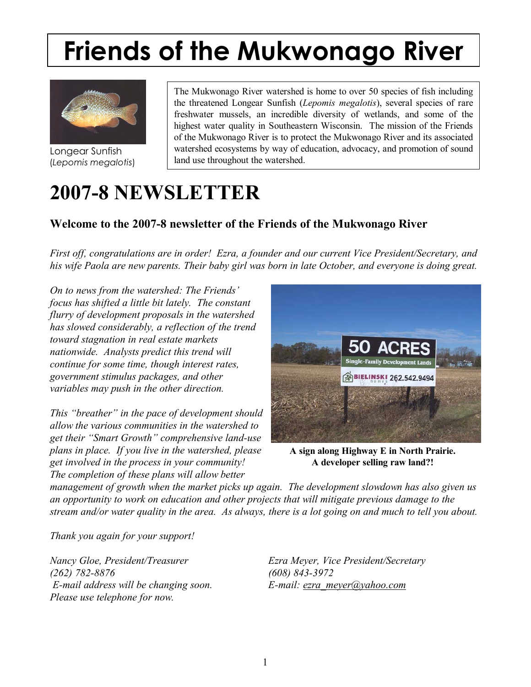## Longear Sunfish Friends of the Mukwonago River



Longear Sunfish (*Lepomis megalotis*)

The Mukwonago River watershed is home to over 50 species of fish including the threatened Longear Sunfish (*Lepomis megalotis*), several species of rare freshwater mussels, an incredible diversity of wetlands, and some of the highest water quality in Southeastern Wisconsin. The mission of the Friends of the Mukwonago River is to protect the Mukwonago River and its associated watershed ecosystems by way of education, advocacy, and promotion of sound land use throughout the watershed.

# **2007-8 NEWSLETTER**

### **Welcome to the 2007-8 newsletter of the Friends of the Mukwonago River**

*First off, congratulations are in order! Ezra, a founder and our current Vice President/Secretary, and his wife Paola are new parents. Their baby girl was born in late October, and everyone is doing great.* 

*On to news from the watershed: The Friends' focus has shifted a little bit lately. The constant flurry of development proposals in the watershed has slowed considerably, a reflection of the trend toward stagnation in real estate markets nationwide. Analysts predict this trend will continue for some time, though interest rates, government stimulus packages, and other variables may push in the other direction.* 

*This "breather" in the pace of development should allow the various communities in the watershed to*  get their "Smart Growth" comprehensive land-use *plans in place. If you live in the watershed, please get involved in the process in your community! The completion of these plans will allow better* 



**A sign along Highway E in North Prairie. A developer selling raw land?!** 

*management of growth when the market picks up again. The development slowdown has also given us an opportunity to work on education and other projects that will mitigate previous damage to the stream and/or water quality in the area. As always, there is a lot going on and much to tell you about.* 

*Thank you again for your support!* 

*Nancy Gloe, President/Treasurer Ezra Meyer, Vice President/Secretary (262) 782-8876 (608) 843-3972 E-mail address will be changing soon. E-mail: ezra\_meyer@yahoo.com Please use telephone for now.*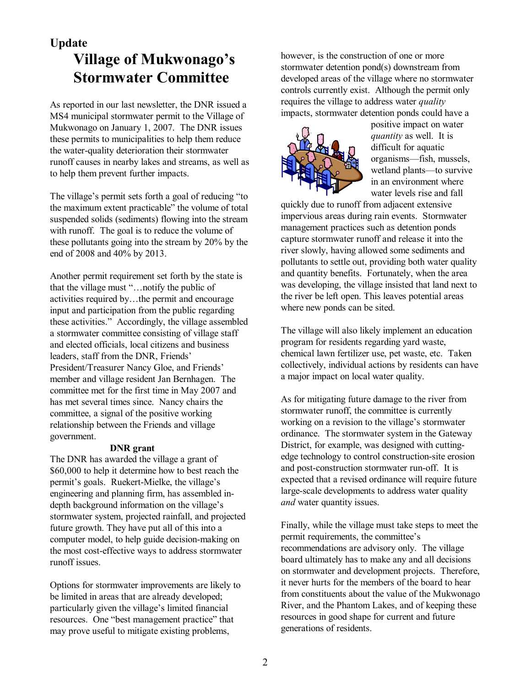## **Update Village of Mukwonago's Stormwater Committee**

As reported in our last newsletter, the DNR issued a MS4 municipal stormwater permit to the Village of Mukwonago on January 1, 2007. The DNR issues these permits to municipalities to help them reduce the water-quality deterioration their stormwater runoff causes in nearby lakes and streams, as well as to help them prevent further impacts.

The village's permit sets forth a goal of reducing "to the maximum extent practicable" the volume of total suspended solids (sediments) flowing into the stream with runoff. The goal is to reduce the volume of these pollutants going into the stream by 20% by the end of 2008 and 40% by 2013.

Another permit requirement set forth by the state is that the village must "...notify the public of activities required by $\dots$ the permit and encourage input and participation from the public regarding these activities." Accordingly, the village assembled a stormwater committee consisting of village staff and elected officials, local citizens and business leaders, staff from the DNR, Friends' President/Treasurer Nancy Gloe, and Friends' member and village resident Jan Bernhagen. The committee met for the first time in May 2007 and has met several times since. Nancy chairs the committee, a signal of the positive working relationship between the Friends and village government.

#### **DNR grant**

The DNR has awarded the village a grant of \$60,000 to help it determine how to best reach the permit's goals. Ruekert-Mielke, the village's engineering and planning firm, has assembled indepth background information on the village's stormwater system, projected rainfall, and projected future growth. They have put all of this into a computer model, to help guide decision-making on the most cost-effective ways to address stormwater runoff issues.

Options for stormwater improvements are likely to be limited in areas that are already developed; particularly given the village's limited financial resources. One "best management practice" that may prove useful to mitigate existing problems,

however, is the construction of one or more stormwater detention pond(s) downstream from developed areas of the village where no stormwater controls currently exist. Although the permit only requires the village to address water *quality* impacts, stormwater detention ponds could have a



positive impact on water *quantity* as well. It is difficult for aquatic organisms—fish, mussels, wetland plants—to survive in an environment where water levels rise and fall

quickly due to runoff from adjacent extensive impervious areas during rain events. Stormwater management practices such as detention ponds capture stormwater runoff and release it into the river slowly, having allowed some sediments and pollutants to settle out, providing both water quality and quantity benefits. Fortunately, when the area was developing, the village insisted that land next to the river be left open. This leaves potential areas where new ponds can be sited.

The village will also likely implement an education program for residents regarding yard waste, chemical lawn fertilizer use, pet waste, etc. Taken collectively, individual actions by residents can have a major impact on local water quality.

As for mitigating future damage to the river from stormwater runoff, the committee is currently working on a revision to the village's stormwater ordinance. The stormwater system in the Gateway District, for example, was designed with cuttingedge technology to control construction-site erosion and post-construction stormwater run-off. It is expected that a revised ordinance will require future large-scale developments to address water quality *and* water quantity issues.

Finally, while the village must take steps to meet the permit requirements, the committee's recommendations are advisory only. The village board ultimately has to make any and all decisions on stormwater and development projects. Therefore, it never hurts for the members of the board to hear from constituents about the value of the Mukwonago River, and the Phantom Lakes, and of keeping these resources in good shape for current and future generations of residents.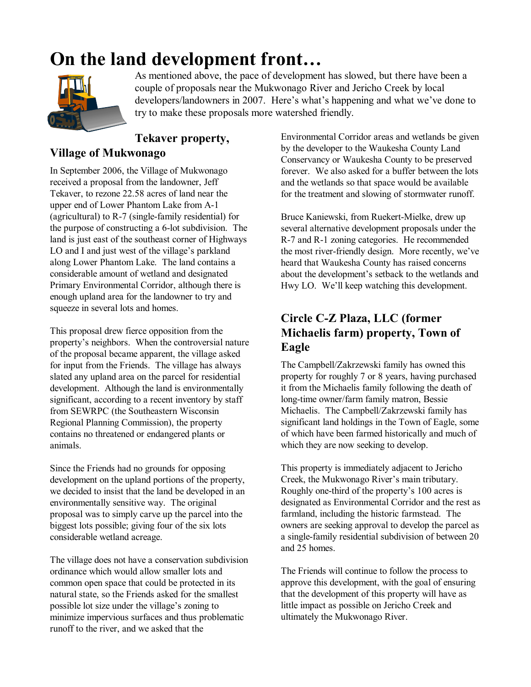# **On the land development front...**



As mentioned above, the pace of development has slowed, but there have been a couple of proposals near the Mukwonago River and Jericho Creek by local developers/landowners in 2007. Here's what's happening and what we've done to try to make these proposals more watershed friendly.

### **Tekaver property,**

#### **Village of Mukwonago**

In September 2006, the Village of Mukwonago received a proposal from the landowner, Jeff Tekaver, to rezone 22.58 acres of land near the upper end of Lower Phantom Lake from A-1 (agricultural) to R-7 (single-family residential) for the purpose of constructing a 6-lot subdivision. The land is just east of the southeast corner of Highways LO and I and just west of the village's parkland along Lower Phantom Lake. The land contains a considerable amount of wetland and designated Primary Environmental Corridor, although there is enough upland area for the landowner to try and squeeze in several lots and homes.

This proposal drew fierce opposition from the property's neighbors. When the controversial nature of the proposal became apparent, the village asked for input from the Friends. The village has always slated any upland area on the parcel for residential development. Although the land is environmentally significant, according to a recent inventory by staff from SEWRPC (the Southeastern Wisconsin Regional Planning Commission), the property contains no threatened or endangered plants or animals.

Since the Friends had no grounds for opposing development on the upland portions of the property, we decided to insist that the land be developed in an environmentally sensitive way. The original proposal was to simply carve up the parcel into the biggest lots possible; giving four of the six lots considerable wetland acreage.

The village does not have a conservation subdivision ordinance which would allow smaller lots and common open space that could be protected in its natural state, so the Friends asked for the smallest possible lot size under the village's zoning to minimize impervious surfaces and thus problematic runoff to the river, and we asked that the

Environmental Corridor areas and wetlands be given by the developer to the Waukesha County Land Conservancy or Waukesha County to be preserved forever. We also asked for a buffer between the lots and the wetlands so that space would be available for the treatment and slowing of stormwater runoff.

Bruce Kaniewski, from Ruekert-Mielke, drew up several alternative development proposals under the R-7 and R-1 zoning categories. He recommended the most river-friendly design. More recently, we've heard that Waukesha County has raised concerns about the development's setback to the wetlands and Hwy LO. We'll keep watching this development.

### **Circle C-Z Plaza, LLC (former Michaelis farm) property, Town of Eagle**

The Campbell/Zakrzewski family has owned this property for roughly 7 or 8 years, having purchased it from the Michaelis family following the death of long-time owner/farm family matron, Bessie Michaelis. The Campbell/Zakrzewski family has significant land holdings in the Town of Eagle, some of which have been farmed historically and much of which they are now seeking to develop.

This property is immediately adjacent to Jericho Creek, the Mukwonago River's main tributary. Roughly one-third of the property's 100 acres is designated as Environmental Corridor and the rest as farmland, including the historic farmstead. The owners are seeking approval to develop the parcel as a single-family residential subdivision of between 20 and 25 homes.

The Friends will continue to follow the process to approve this development, with the goal of ensuring that the development of this property will have as little impact as possible on Jericho Creek and ultimately the Mukwonago River.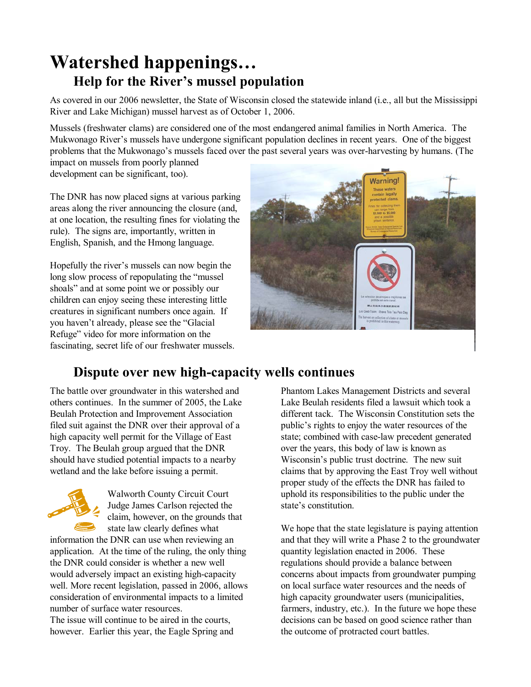## **Watershed happenings... Help for the River's mussel population**

As covered in our 2006 newsletter, the State of Wisconsin closed the statewide inland (i.e., all but the Mississippi River and Lake Michigan) mussel harvest as of October 1, 2006.

Mussels (freshwater clams) are considered one of the most endangered animal families in North America. The Mukwonago River's mussels have undergone significant population declines in recent years. One of the biggest problems that the Mukwonago's mussels faced over the past several years was over-harvesting by humans. (The impact on mussels from poorly planned

development can be significant, too).

The DNR has now placed signs at various parking areas along the river announcing the closure (and, at one location, the resulting fines for violating the rule). The signs are, importantly, written in English, Spanish, and the Hmong language.

Hopefully the river's mussels can now begin the long slow process of repopulating the "mussel" shoals" and at some point we or possibly our children can enjoy seeing these interesting little creatures in significant numbers once again. If you haven't already, please see the "Glacial" Refuge" video for more information on the fascinating, secret life of our freshwater mussels.



## **Dispute over new high-capacity wells continues**

The battle over groundwater in this watershed and others continues. In the summer of 2005, the Lake Beulah Protection and Improvement Association filed suit against the DNR over their approval of a high capacity well permit for the Village of East Troy. The Beulah group argued that the DNR should have studied potential impacts to a nearby wetland and the lake before issuing a permit.



Walworth County Circuit Court Judge James Carlson rejected the claim, however, on the grounds that state law clearly defines what

information the DNR can use when reviewing an application. At the time of the ruling, the only thing the DNR could consider is whether a new well would adversely impact an existing high-capacity well. More recent legislation, passed in 2006, allows consideration of environmental impacts to a limited number of surface water resources.

The issue will continue to be aired in the courts, however. Earlier this year, the Eagle Spring and

Phantom Lakes Management Districts and several Lake Beulah residents filed a lawsuit which took a different tack. The Wisconsin Constitution sets the public's rights to enjoy the water resources of the state; combined with case-law precedent generated over the years, this body of law is known as Wisconsin's public trust doctrine. The new suit claims that by approving the East Troy well without proper study of the effects the DNR has failed to uphold its responsibilities to the public under the state's constitution.

We hope that the state legislature is paying attention and that they will write a Phase 2 to the groundwater quantity legislation enacted in 2006. These regulations should provide a balance between concerns about impacts from groundwater pumping on local surface water resources and the needs of high capacity groundwater users (municipalities, farmers, industry, etc.). In the future we hope these decisions can be based on good science rather than the outcome of protracted court battles.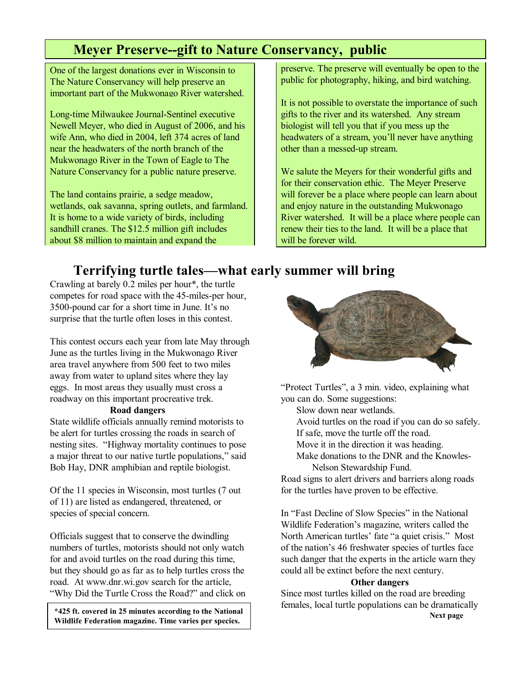## **Meyer Preserve--gift to Nature Conservancy, public**

One of the largest donations ever in Wisconsin to The Nature Conservancy will help preserve an important part of the Mukwonago River watershed.

Long-time Milwaukee Journal-Sentinel executive Newell Meyer, who died in August of 2006, and his wife Ann, who died in 2004, left 374 acres of land near the headwaters of the north branch of the Mukwonago River in the Town of Eagle to The Nature Conservancy for a public nature preserve.

The land contains prairie, a sedge meadow, wetlands, oak savanna, spring outlets, and farmland. It is home to a wide variety of birds, including sandhill cranes. The \$12.5 million gift includes about \$8 million to maintain and expand the

preserve. The preserve will eventually be open to the public for photography, hiking, and bird watching.

It is not possible to overstate the importance of such gifts to the river and its watershed. Any stream biologist will tell you that if you mess up the headwaters of a stream, you'll never have anything other than a messed-up stream.

We salute the Meyers for their wonderful gifts and for their conservation ethic. The Meyer Preserve will forever be a place where people can learn about and enjoy nature in the outstanding Mukwonago River watershed. It will be a place where people can renew their ties to the land. It will be a place that will be forever wild.

## **Terrifying turtle tales—what early summer will bring**

Crawling at barely 0.2 miles per hour\*, the turtle competes for road space with the 45-miles-per hour, 3500-pound car for a short time in June. It's no surprise that the turtle often loses in this contest.

This contest occurs each year from late May through June as the turtles living in the Mukwonago River area travel anywhere from 500 feet to two miles away from water to upland sites where they lay eggs. In most areas they usually must cross a roadway on this important procreative trek.

#### **Road dangers**

State wildlife officials annually remind motorists to be alert for turtles crossing the roads in search of nesting sites. "Highway mortality continues to pose a major threat to our native turtle populations," said Bob Hay, DNR amphibian and reptile biologist.

Of the 11 species in Wisconsin, most turtles (7 out of 11) are listed as endangered, threatened, or species of special concern.

Officials suggest that to conserve the dwindling numbers of turtles, motorists should not only watch for and avoid turtles on the road during this time, but they should go as far as to help turtles cross the road. At www.dnr.wi.gov search for the article, "Why Did the Turtle Cross the Road?" and click on

 **\*425 ft. covered in 25 minutes according to the National and Securitative proposalized Security Proposalized Security Proposalized Security Proposalized Security Proposalized Security Proposalized Security Proposalized S Wildlife Federation magazine. Time varies per species.** 



"Protect Turtles", a 3 min. video, explaining what you can do. Some suggestions:

Slow down near wetlands.

Avoid turtles on the road if you can do so safely.

If safe, move the turtle off the road.

Move it in the direction it was heading.

Make donations to the DNR and the Knowles-Nelson Stewardship Fund.

Road signs to alert drivers and barriers along roads for the turtles have proven to be effective.

In "Fast Decline of Slow Species" in the National Wildlife Federation's magazine, writers called the North American turtles' fate "a quiet crisis." Most of the nation's 46 freshwater species of turtles face such danger that the experts in the article warn they could all be extinct before the next century.

#### **Other dangers**

Since most turtles killed on the road are breeding females, local turtle populations can be dramatically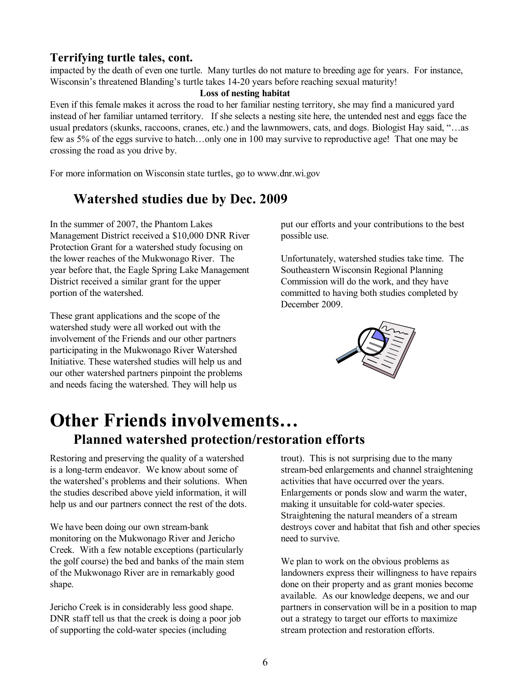#### **Terrifying turtle tales, cont.**

impacted by the death of even one turtle. Many turtles do not mature to breeding age for years. For instance, Wisconsin's threatened Blanding's turtle takes 14-20 years before reaching sexual maturity!

#### **Loss of nesting habitat**

Even if this female makes it across the road to her familiar nesting territory, she may find a manicured yard instead of her familiar untamed territory. If she selects a nesting site here, the untended nest and eggs face the usual predators (skunks, raccoons, cranes, etc.) and the lawnmowers, cats, and dogs. Biologist Hay said, "...as few as 5% of the eggs survive to hatch...only one in 100 may survive to reproductive age! That one may be crossing the road as you drive by.

For more information on Wisconsin state turtles, go to www.dnr.wi.gov

### **Watershed studies due by Dec. 2009**

In the summer of 2007, the Phantom Lakes Management District received a \$10,000 DNR River Protection Grant for a watershed study focusing on the lower reaches of the Mukwonago River. The year before that, the Eagle Spring Lake Management District received a similar grant for the upper portion of the watershed.

These grant applications and the scope of the watershed study were all worked out with the involvement of the Friends and our other partners participating in the Mukwonago River Watershed Initiative. These watershed studies will help us and our other watershed partners pinpoint the problems and needs facing the watershed. They will help us

put our efforts and your contributions to the best possible use.

Unfortunately, watershed studies take time. The Southeastern Wisconsin Regional Planning Commission will do the work, and they have committed to having both studies completed by December 2009.



## **Other Friends involvements... Planned watershed protection/restoration efforts**

Restoring and preserving the quality of a watershed is a long-term endeavor. We know about some of the watershed's problems and their solutions. When the studies described above yield information, it will help us and our partners connect the rest of the dots.

We have been doing our own stream-bank monitoring on the Mukwonago River and Jericho Creek. With a few notable exceptions (particularly the golf course) the bed and banks of the main stem of the Mukwonago River are in remarkably good shape.

Jericho Creek is in considerably less good shape. DNR staff tell us that the creek is doing a poor job of supporting the cold-water species (including

trout). This is not surprising due to the many stream-bed enlargements and channel straightening activities that have occurred over the years. Enlargements or ponds slow and warm the water, making it unsuitable for cold-water species. Straightening the natural meanders of a stream destroys cover and habitat that fish and other species need to survive.

We plan to work on the obvious problems as landowners express their willingness to have repairs done on their property and as grant monies become available. As our knowledge deepens, we and our partners in conservation will be in a position to map out a strategy to target our efforts to maximize stream protection and restoration efforts.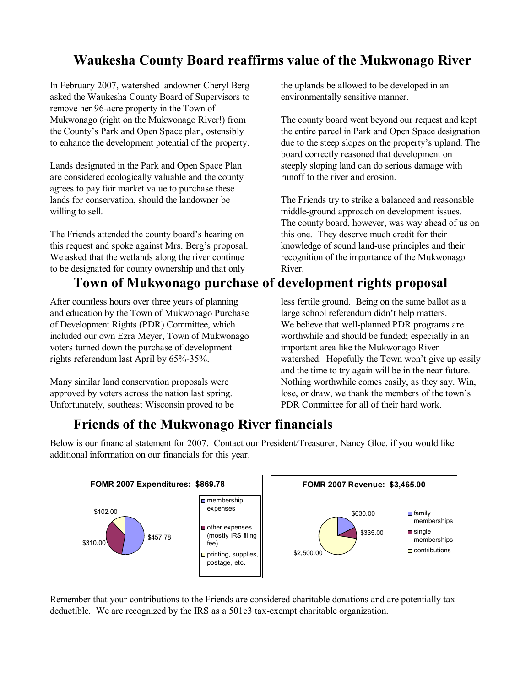## **Waukesha County Board reaffirms value of the Mukwonago River**

In February 2007, watershed landowner Cheryl Berg asked the Waukesha County Board of Supervisors to remove her 96-acre property in the Town of Mukwonago (right on the Mukwonago River!) from the County's Park and Open Space plan, ostensibly to enhance the development potential of the property.

Lands designated in the Park and Open Space Plan are considered ecologically valuable and the county agrees to pay fair market value to purchase these lands for conservation, should the landowner be willing to sell.

The Friends attended the county board's hearing on this request and spoke against Mrs. Berg's proposal. We asked that the wetlands along the river continue to be designated for county ownership and that only

## **Town of Mukwonago purchase of development rights proposal**

After countless hours over three years of planning and education by the Town of Mukwonago Purchase of Development Rights (PDR) Committee, which included our own Ezra Meyer, Town of Mukwonago voters turned down the purchase of development rights referendum last April by 65%-35%.

Many similar land conservation proposals were approved by voters across the nation last spring. Unfortunately, southeast Wisconsin proved to be the uplands be allowed to be developed in an environmentally sensitive manner.

The county board went beyond our request and kept the entire parcel in Park and Open Space designation due to the steep slopes on the property's upland. The board correctly reasoned that development on steeply sloping land can do serious damage with runoff to the river and erosion.

The Friends try to strike a balanced and reasonable middle-ground approach on development issues. The county board, however, was way ahead of us on this one. They deserve much credit for their knowledge of sound land-use principles and their recognition of the importance of the Mukwonago River.

less fertile ground. Being on the same ballot as a

large school referendum didn't help matters. We believe that well-planned PDR programs are worthwhile and should be funded; especially in an important area like the Mukwonago River watershed. Hopefully the Town won't give up easily and the time to try again will be in the near future. Nothing worthwhile comes easily, as they say. Win, lose, or draw, we thank the members of the town's PDR Committee for all of their hard work.

## **Friends of the Mukwonago River financials**



Below is our financial statement for 2007. Contact our President/Treasurer, Nancy Gloe, if you would like additional information on our financials for this year.

Remember that your contributions to the Friends are considered charitable donations and are potentially tax deductible. We are recognized by the IRS as a 501c3 tax-exempt charitable organization.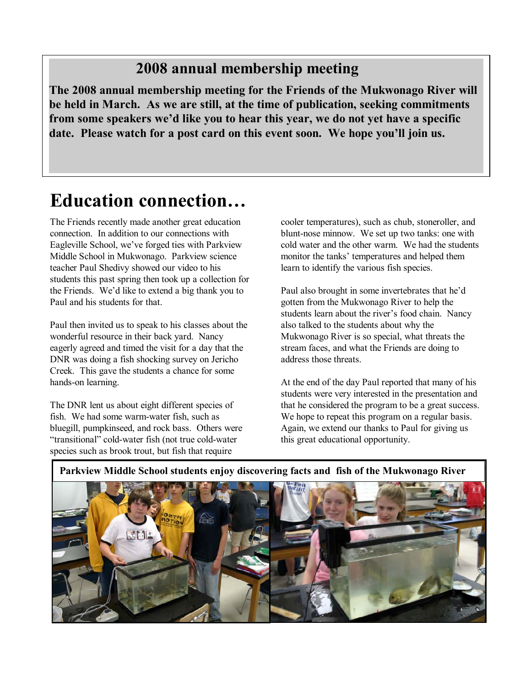## **2008 annual membership meeting**

**The 2008 annual membership meeting for the Friends of the Mukwonago River will be held in March. As we are still, at the time of publication, seeking commitments**  from some speakers we'd like you to hear this year, we do not yet have a specific date. Please watch for a post card on this event soon. We hope you'll join us.

# **Education connection...**

The Friends recently made another great education connection. In addition to our connections with Eagleville School, we've forged ties with Parkview Middle School in Mukwonago. Parkview science teacher Paul Shedivy showed our video to his students this past spring then took up a collection for the Friends. We'd like to extend a big thank you to Paul and his students for that.

Paul then invited us to speak to his classes about the wonderful resource in their back yard. Nancy eagerly agreed and timed the visit for a day that the DNR was doing a fish shocking survey on Jericho Creek. This gave the students a chance for some hands-on learning.

The DNR lent us about eight different species of fish. We had some warm-water fish, such as bluegill, pumpkinseed, and rock bass. Others were "transitional" cold-water fish (not true cold-water species such as brook trout, but fish that require

cooler temperatures), such as chub, stoneroller, and blunt-nose minnow. We set up two tanks: one with cold water and the other warm. We had the students monitor the tanks' temperatures and helped them learn to identify the various fish species.

Paul also brought in some invertebrates that he'd gotten from the Mukwonago River to help the students learn about the river's food chain. Nancy also talked to the students about why the Mukwonago River is so special, what threats the stream faces, and what the Friends are doing to address those threats.

At the end of the day Paul reported that many of his students were very interested in the presentation and that he considered the program to be a great success. We hope to repeat this program on a regular basis. Again, we extend our thanks to Paul for giving us this great educational opportunity.

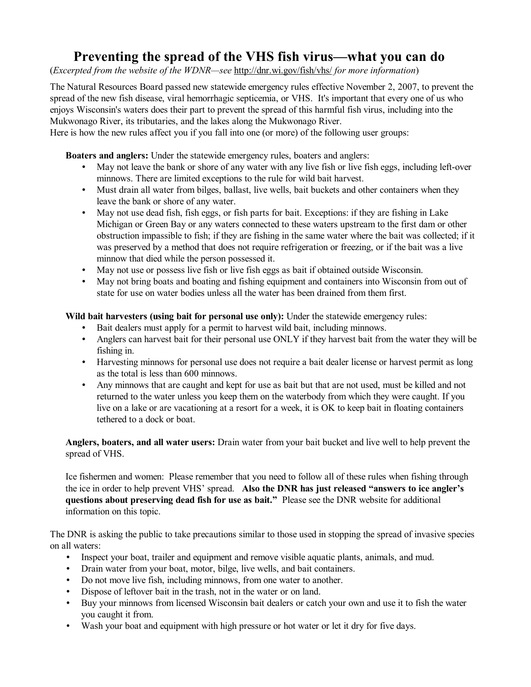## **Preventing the spread of the VHS fish virus—what you can do**

(*Excerpted from the website of the WDNR*—see http://dnr.wi.gov/fish/vhs/ *for more information*)

The Natural Resources Board passed new statewide emergency rules effective November 2, 2007, to prevent the spread of the new fish disease, viral hemorrhagic septicemia, or VHS. It's important that every one of us who enjoys Wisconsin's waters does their part to prevent the spread of this harmful fish virus, including into the Mukwonago River, its tributaries, and the lakes along the Mukwonago River.

Here is how the new rules affect you if you fall into one (or more) of the following user groups:

**Boaters and anglers:** Under the statewide emergency rules, boaters and anglers:

- May not leave the bank or shore of any water with any live fish or live fish eggs, including left-over minnows. There are limited exceptions to the rule for wild bait harvest.
- Must drain all water from bilges, ballast, live wells, bait buckets and other containers when they leave the bank or shore of any water.
- May not use dead fish, fish eggs, or fish parts for bait. Exceptions: if they are fishing in Lake Michigan or Green Bay or any waters connected to these waters upstream to the first dam or other obstruction impassible to fish; if they are fishing in the same water where the bait was collected; if it was preserved by a method that does not require refrigeration or freezing, or if the bait was a live minnow that died while the person possessed it.
- May not use or possess live fish or live fish eggs as bait if obtained outside Wisconsin.
- May not bring boats and boating and fishing equipment and containers into Wisconsin from out of state for use on water bodies unless all the water has been drained from them first.

#### **Wild bait harvesters (using bait for personal use only):** Under the statewide emergency rules:

- Bait dealers must apply for a permit to harvest wild bait, including minnows.
- Anglers can harvest bait for their personal use ONLY if they harvest bait from the water they will be fishing in.
- Harvesting minnows for personal use does not require a bait dealer license or harvest permit as long as the total is less than 600 minnows.
- Any minnows that are caught and kept for use as bait but that are not used, must be killed and not returned to the water unless you keep them on the waterbody from which they were caught. If you live on a lake or are vacationing at a resort for a week, it is OK to keep bait in floating containers tethered to a dock or boat.

**Anglers, boaters, and all water users:** Drain water from your bait bucket and live well to help prevent the spread of VHS.

Ice fishermen and women: Please remember that you need to follow all of these rules when fishing through the ice in order to help prevent VHS' spread. Also the DNR has just released "answers to ice angler's **questions about preserving dead fish for use as bait.î** Please see the DNR website for additional information on this topic.

The DNR is asking the public to take precautions similar to those used in stopping the spread of invasive species on all waters:

- Inspect your boat, trailer and equipment and remove visible aquatic plants, animals, and mud.
- Drain water from your boat, motor, bilge, live wells, and bait containers.
- Do not move live fish, including minnows, from one water to another.
- Dispose of leftover bait in the trash, not in the water or on land.
- Buy your minnows from licensed Wisconsin bait dealers or catch your own and use it to fish the water you caught it from.
- Wash your boat and equipment with high pressure or hot water or let it dry for five days.